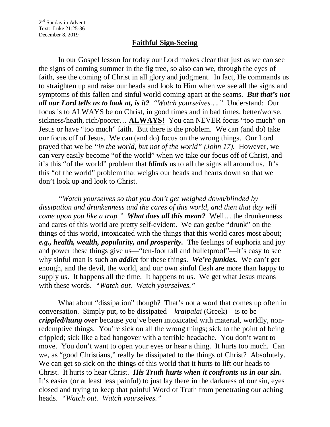## **Faithful Sign-Seeing**

In our Gospel lesson for today our Lord makes clear that just as we can see the signs of coming summer in the fig tree, so also can we, through the eyes of faith, see the coming of Christ in all glory and judgment. In fact, He commands us to straighten up and raise our heads and look to Him when we see all the signs and symptoms of this fallen and sinful world coming apart at the seams. *But that's not all our Lord tells us to look at, is it? "Watch yourselves…."* Understand: Our focus is to ALWAYS be on Christ, in good times and in bad times, better/worse, sickness/heath, rich/poorer… **ALWAYS!** You can NEVER focus "too much" on Jesus or have "too much" faith. But there is the problem. We can (and do) take our focus off of Jesus. We can (and do) focus on the wrong things. Our Lord prayed that we be *"in the world, but not of the world" (John 17).* However, we can very easily become "of the world" when we take our focus off of Christ, and it's this "of the world" problem that *blinds* us to all the signs all around us. It's this "of the world" problem that weighs our heads and hearts down so that we don't look up and look to Christ.

*"Watch yourselves so that you don't get weighed down/blinded by dissipation and drunkenness and the cares of this world, and then that day will come upon you like a trap." What does all this mean?* Well… the drunkenness and cares of this world are pretty self-evident. We can get/be "drunk" on the things of this world, intoxicated with the things that this world cares most about; *e.g., health, wealth, popularity, and prosperity.* The feelings of euphoria and joy and power these things give us—"ten-foot tall and bulletproof"—it's easy to see why sinful man is such an *addict* for these things. *We're junkies.* We can't get enough, and the devil, the world, and our own sinful flesh are more than happy to supply us. It happens all the time. It happens to us. We get what Jesus means with these words. *"Watch out. Watch yourselves."*

What about "dissipation" though? That's not a word that comes up often in conversation. Simply put, to be dissipated—*kraipalai* (Greek)—is to be *crippled/hung over* because you've been intoxicated with material, worldly, nonredemptive things. You're sick on all the wrong things; sick to the point of being crippled; sick like a bad hangover with a terrible headache. You don't want to move. You don't want to open your eyes or hear a thing. It hurts too much. Can we, as "good Christians," really be dissipated to the things of Christ? Absolutely. We can get so sick on the things of this world that it hurts to lift our heads to Christ. It hurts to hear Christ. *His Truth hurts when it confronts us in our sin.* It's easier (or at least less painful) to just lay there in the darkness of our sin, eyes closed and trying to keep that painful Word of Truth from penetrating our aching heads. *"Watch out. Watch yourselves."*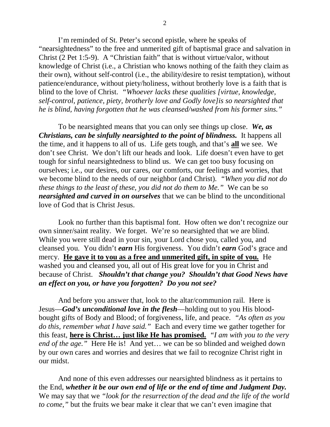I'm reminded of St. Peter's second epistle, where he speaks of "nearsightedness" to the free and unmerited gift of baptismal grace and salvation in Christ (2 Pet 1:5-9). A "Christian faith" that is without virtue/valor, without knowledge of Christ (i.e., a Christian who knows nothing of the faith they claim as their own), without self-control (i.e., the ability/desire to resist temptation), without patience/endurance, without piety/holiness, without brotherly love is a faith that is blind to the love of Christ. *"Whoever lacks these qualities [virtue, knowledge, self-control, patience, piety, brotherly love and Godly love]is so nearsighted that he is blind, having forgotten that he was cleansed/washed from his former sins."* 

To be nearsighted means that you can only see things up close. *We, as Christians, can be sinfully nearsighted to the point of blindness.* It happens all the time, and it happens to all of us. Life gets tough, and that's **all** we see. We don't see Christ. We don't lift our heads and look. Life doesn't even have to get tough for sinful nearsightedness to blind us. We can get too busy focusing on ourselves; i.e., our desires, our cares, our comforts, our feelings and worries, that we become blind to the needs of our neighbor (and Christ). *"When you did not do these things to the least of these, you did not do them to Me."* We can be so *nearsighted and curved in on ourselves* that we can be blind to the unconditional love of God that is Christ Jesus.

Look no further than this baptismal font. How often we don't recognize our own sinner/saint reality. We forget. We're so nearsighted that we are blind. While you were still dead in your sin, your Lord chose you, called you, and cleansed you. You didn't *earn* His forgiveness. You didn't *earn* God's grace and mercy. **He gave it to you as a free and unmerited gift, in spite of you.** He washed you and cleansed you, all out of His great love for you in Christ and because of Christ. *Shouldn't that change you? Shouldn't that Good News have an effect on you, or have you forgotten? Do you not see?* 

And before you answer that, look to the altar/communion rail. Here is Jesus—*God's unconditional love in the flesh*—holding out to you His bloodbought gifts of Body and Blood; of forgiveness, life, and peace. *"As often as you do this, remember what I have said."* Each and every time we gather together for this feast, **here is Christ… just like He has promised.** *"I am with you to the very end of the age."* Here He is! And yet… we can be so blinded and weighed down by our own cares and worries and desires that we fail to recognize Christ right in our midst.

And none of this even addresses our nearsighted blindness as it pertains to the End, *whether it be our own end of life or the end of time and Judgment Day.* We may say that we *"look for the resurrection of the dead and the life of the world to come,"* but the fruits we bear make it clear that we can't even imagine that